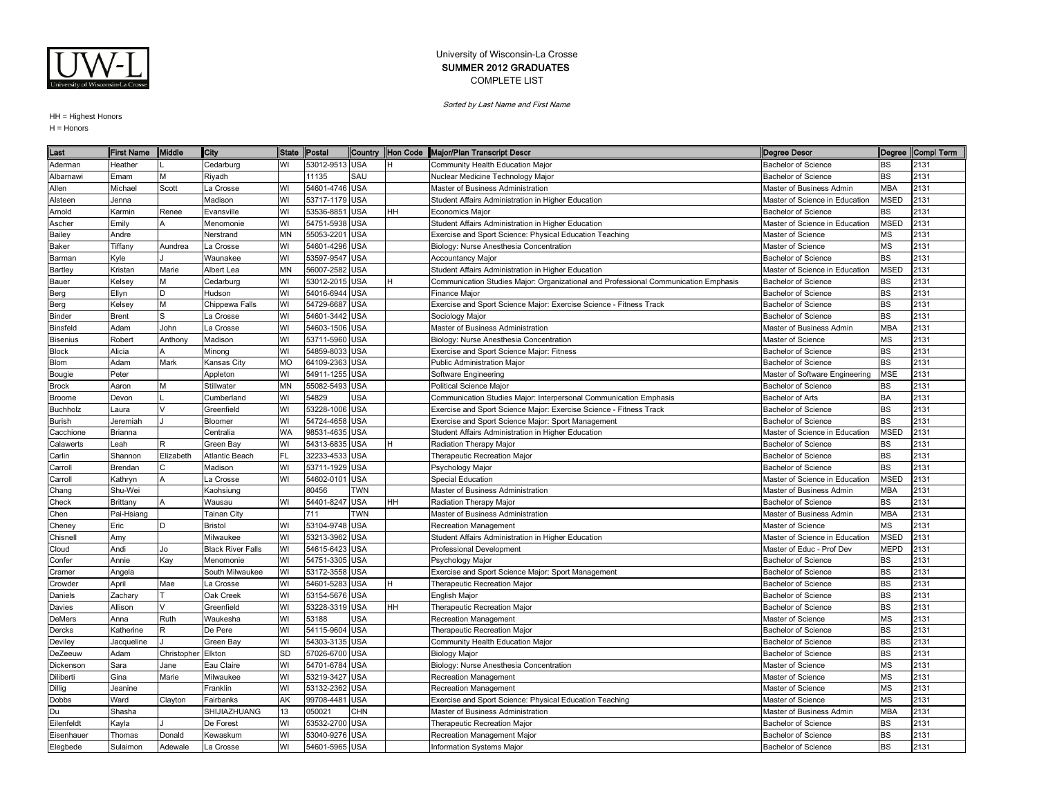

Sorted by Last Name and First Name

| Last            | <b>First Name</b> | Middle      | City                     | State Postal |                |            |           | Country Hon Code Major/Plan Transcript Descr                                        | <b>Degree Descr</b>            |             | Degree Compl Term |
|-----------------|-------------------|-------------|--------------------------|--------------|----------------|------------|-----------|-------------------------------------------------------------------------------------|--------------------------------|-------------|-------------------|
| Aderman         | Heather           |             | Cedarburg                | W١           | 53012-9513 USA |            |           | Community Health Education Major                                                    | <b>Bachelor of Science</b>     | <b>BS</b>   | 2131              |
| Albarnawi       | Emam              | М           | Riyadh                   |              | 11135          | SAU        |           | Nuclear Medicine Technology Major                                                   | <b>Bachelor of Science</b>     | <b>BS</b>   | 2131              |
| Allen           | Michael           | Scott       | La Crosse                | WI           | 54601-4746 USA |            |           | Master of Business Administration                                                   | Master of Business Admin       | <b>MBA</b>  | 2131              |
| Alsteen         | Jenna             |             | Madison                  | WI           | 53717-1179     | <b>USA</b> |           | Student Affairs Administration in Higher Education                                  | Master of Science in Education | <b>MSED</b> | 2131              |
| Arnold          | Karmin            | Renee       | Evansville               | WI           | 53536-8851     | <b>USA</b> | HН        | Economics Major                                                                     | <b>Bachelor of Science</b>     | BS          | 2131              |
| Ascher          | Emily             |             | Menomonie                | W١           | 54751-5938 USA |            |           | Student Affairs Administration in Higher Education                                  | Master of Science in Education | <b>MSED</b> | 2131              |
| Bailey          | Andre             |             | Nerstrand                | ΜN           | 55053-2201     | <b>USA</b> |           | Exercise and Sport Science: Physical Education Teaching                             | Master of Science              | ΜS          | 2131              |
| Baker           | Tiffany           | Aundrea     | La Crosse                | WI           | 54601-4296 USA |            |           | Biology: Nurse Anesthesia Concentration                                             | Master of Science              | ΜS          | 2131              |
| Barman          | Kyle              |             | Waunakee                 | WI           | 53597-9547     | <b>USA</b> |           | Accountancy Major                                                                   | <b>Bachelor of Science</b>     | ВS          | 2131              |
| <b>Bartley</b>  | Kristan           | Marie       | Albert Lea               | ΜN           | 56007-2582     | <b>USA</b> |           | Student Affairs Administration in Higher Education                                  | Master of Science in Education | <b>MSED</b> | 2131              |
| Bauer           | Kelsey            | М           | Cedarburg                | W١           | 53012-2015     | <b>USA</b> | H         | Communication Studies Major: Organizational and Professional Communication Emphasis | Bachelor of Science            | <b>BS</b>   | 2131              |
| Berg            | Ellyn             | D           | Hudson                   | WI           | 54016-6944     | <b>USA</b> |           | Finance Major                                                                       | <b>Bachelor of Science</b>     | <b>BS</b>   | 2131              |
| Berg            | Kelsey            | M           | Chippewa Falls           | WI           | 54729-6687     | <b>USA</b> |           | Exercise and Sport Science Major: Exercise Science - Fitness Track                  | <b>Bachelor of Science</b>     | <b>BS</b>   | 2131              |
| <b>Binder</b>   | Brent             | S           | La Crosse                | WI           | 54601-3442     | <b>USA</b> |           | Sociology Major                                                                     | <b>Bachelor of Science</b>     | <b>BS</b>   | 2131              |
| <b>Binsfeld</b> | Adam              | John        | La Crosse                | WI           | 54603-1506 USA |            |           | Master of Business Administration                                                   | Master of Business Admin       | <b>MBA</b>  | 2131              |
| <b>Bisenius</b> | Robert            | Anthony     | Madison                  | WI           | 53711-5960     | <b>USA</b> |           | Biology: Nurse Anesthesia Concentration                                             | Master of Science              | ΜS          | 2131              |
| <b>Block</b>    | Alicia            |             | Minong                   | WI           | 54859-8033     | <b>USA</b> |           | Exercise and Sport Science Major: Fitness                                           | <b>Bachelor of Science</b>     | <b>BS</b>   | 2131              |
| <b>Blom</b>     | Adam              | Mark        | Kansas City              | MО           | 64109-2363     | <b>USA</b> |           | Public Administration Major                                                         | <b>Bachelor of Science</b>     | <b>BS</b>   | 2131              |
| Bougie          | Peter             |             | Appleton                 | WI           | 54911-1255     | <b>USA</b> |           | Software Engineering                                                                | Master of Software Engineering | <b>MSE</b>  | 2131              |
| <b>Brock</b>    | Aaron             | М           | Stillwater               | ΜN           | 55082-5493     | <b>USA</b> |           | Political Science Major                                                             | Bachelor of Science            | BS          | 2131              |
| <b>Broome</b>   | Devon             |             | Cumberland               | WI           | 54829          | USA        |           | Communication Studies Major: Interpersonal Communication Emphasis                   | Bachelor of Arts               | BA          | 2131              |
| Buchholz        | aura              |             | Greenfield               | WI           | 53228-1006 USA |            |           | Exercise and Sport Science Major: Exercise Science - Fitness Track                  | <b>Bachelor of Science</b>     | <b>BS</b>   | 2131              |
| <b>Burish</b>   | Jeremiah          |             | Bloomer                  | WI           | 54724-4658 USA |            |           | Exercise and Sport Science Major: Sport Management                                  | Bachelor of Science            | <b>BS</b>   | 2131              |
| Cacchione       | Brianna           |             | Centralia                | WA           | 98531-4635 USA |            |           | Student Affairs Administration in Higher Education                                  | Master of Science in Education | <b>MSED</b> | 2131              |
| Calawerts       | .eah              |             | Green Bay                | W١           | 54313-6835     | <b>USA</b> |           | Radiation Therapy Major                                                             | <b>Bachelor of Science</b>     | ВS          | 2131              |
| Carlin          | Shannon           | Elizabeth   | <b>Atlantic Beach</b>    | FL           | 32233-4533     | <b>USA</b> |           | Therapeutic Recreation Major                                                        | <b>Bachelor of Science</b>     | <b>BS</b>   | 2131              |
| Carroll         | Brendan           |             | Madison                  | WI           | 53711-1929     | <b>USA</b> |           | Psychology Major                                                                    | <b>Bachelor of Science</b>     | <b>BS</b>   | 2131              |
| Carroll         | Kathryn           |             | La Crosse                | WI           | 54602-0101     | <b>USA</b> |           | <b>Special Education</b>                                                            | Master of Science in Education | <b>MSED</b> | 2131              |
| Chang           | Shu-Wei           |             | Kaohsiung                |              | 80456          | <b>TWN</b> |           | Master of Business Administration                                                   | Master of Business Admin       | <b>MBA</b>  | 2131              |
| Check           | Brittany          |             | Wausau                   | W١           | 54401-8247     | <b>USA</b> | HН        | Radiation Therapy Major                                                             | <b>Bachelor of Science</b>     | <b>BS</b>   | 2131              |
| Chen            | Pai-Hsiang        |             | <b>Tainan City</b>       |              | 711            | <b>TWN</b> |           | Master of Business Administration                                                   | Master of Business Admin       | <b>MBA</b>  | 2131              |
| Cheney          | Eric              |             | <b>Bristol</b>           | WI           | 53104-9748 USA |            |           | Recreation Management                                                               | Master of Science              | ΜS          | 2131              |
| Chisnell        | Amy               |             | Milwaukee                | W١           | 53213-3962     | <b>USA</b> |           | Student Affairs Administration in Higher Education                                  | Master of Science in Education | <b>MSED</b> | 2131              |
| Cloud           | Andi              | Jo          | <b>Black River Falls</b> | W١           | 54615-6423     | USA        |           | Professional Development                                                            | Master of Educ - Prof Dev      | <b>MEPD</b> | 2131              |
| Confer          | Annie             | Kay         | Menomonie                | W١           | 54751-3305     | <b>USA</b> |           | Psychology Major                                                                    | <b>Bachelor of Science</b>     | <b>BS</b>   | 2131              |
| Cramer          | Angela            |             | South Milwaukee          | WI           | 53172-3558     | <b>USA</b> |           | Exercise and Sport Science Major: Sport Management                                  | <b>Bachelor of Science</b>     | <b>BS</b>   | 2131              |
| Crowder         | April             | Mae         | La Crosse                | WI           | 54601-5283     | <b>USA</b> | н         | <b>Therapeutic Recreation Major</b>                                                 | <b>Bachelor of Science</b>     | <b>BS</b>   | 2131              |
| Daniels         | Zachary           |             | Oak Creek                | W١           | 53154-5676     | <b>USA</b> |           | English Major                                                                       | Bachelor of Science            | <b>BS</b>   | 2131              |
| Davies          | Allison           | V           | Greenfield               | WI           | 53228-3319 USA |            | <b>HH</b> | <b>Therapeutic Recreation Major</b>                                                 | <b>Bachelor of Science</b>     | <b>BS</b>   | 2131              |
| DeMers          | Anna              | Ruth        | Waukesha                 | WI           | 53188          | USA        |           | Recreation Management                                                               | Master of Science              | MS          | 2131              |
| Dercks          | Katherine         |             | De Pere                  | WI           | 54115-9604 USA |            |           | Therapeutic Recreation Major                                                        | <b>Bachelor of Science</b>     | <b>BS</b>   | 2131              |
| Deviley         | Jacqueline        |             | Green Bay                | W١           | 54303-3135     | <b>USA</b> |           | Community Health Education Major                                                    | <b>Bachelor of Science</b>     | <b>BS</b>   | 2131              |
| DeZeeuw         | Adam              | Christopher | Elkton                   | SD           | 57026-6700     | <b>USA</b> |           | <b>Biology Major</b>                                                                | <b>Bachelor of Science</b>     | <b>BS</b>   | 2131              |
| Dickenson       | Sara              | Jane        | Eau Claire               | WI           | 54701-6784     | <b>USA</b> |           | Biology: Nurse Anesthesia Concentration                                             | Master of Science              | MS          | 2131              |
| Diliberti       | Gina              | Marie       | Milwaukee                | WI           | 53219-3427     | <b>USA</b> |           | Recreation Management                                                               | Master of Science              | <b>MS</b>   | 2131              |
| Dillig          | Jeanine           |             | Franklin                 | WI           | 53132-2362     | <b>USA</b> |           | Recreation Management                                                               | Master of Science              | MS          | 2131              |
| Dobbs           | Ward              | Clayton     | Fairbanks                | AΚ           | 99708-4481     | <b>USA</b> |           | Exercise and Sport Science: Physical Education Teaching                             | Master of Science              | MS          | 2131              |
| Du              | Shasha            |             | SHIJIAZHUANG             | 13           | 050021         | <b>CHN</b> |           | Master of Business Administration                                                   | Master of Business Admin       | <b>MBA</b>  | 2131              |
| Eilenfeldt      | Kayla             |             | De Forest                | W١           | 53532-2700     | <b>USA</b> |           | Therapeutic Recreation Major                                                        | <b>Bachelor of Science</b>     | ВS          | 2131              |
| Eisenhauer      | Thomas            | Donald      | Kewaskum                 | W١           | 53040-9276     | <b>USA</b> |           | Recreation Management Major                                                         | <b>Bachelor of Science</b>     | <b>BS</b>   | 2131              |
| Elegbede        | Sulaimon          | Adewale     | La Crosse                | WI           | 54601-5965     | <b>USA</b> |           | Information Systems Major                                                           | <b>Bachelor of Science</b>     | <b>BS</b>   | 2131              |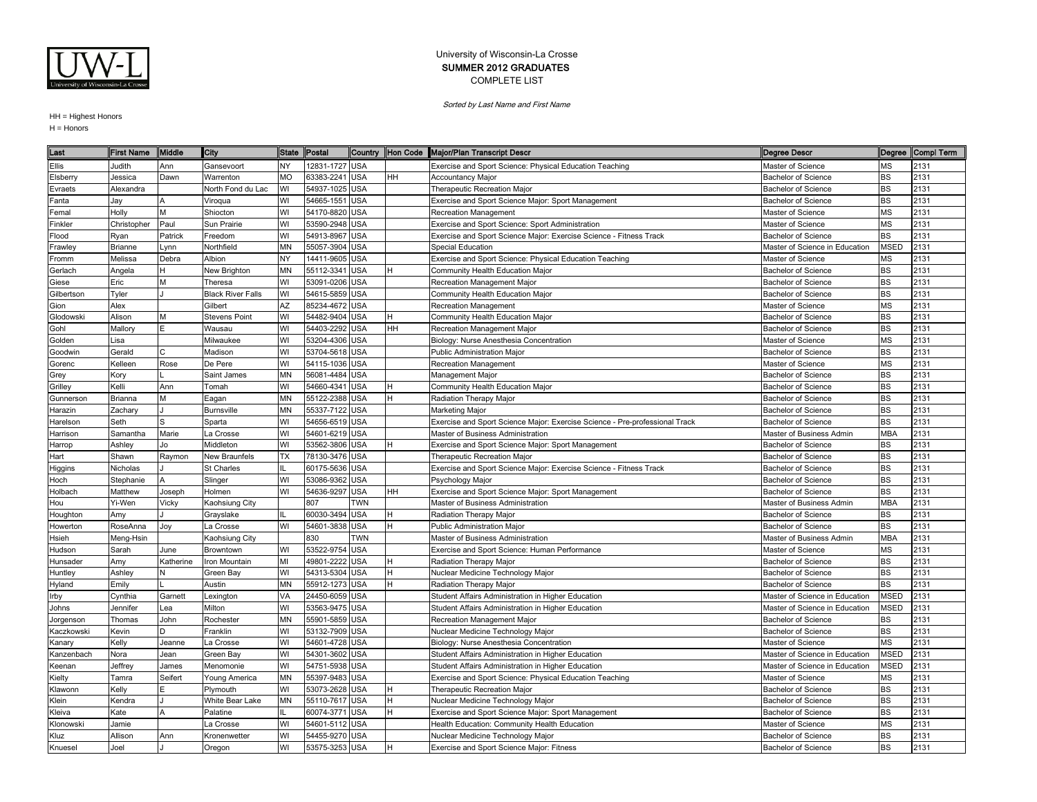

Sorted by Last Name and First Name

| Last                | <b>First Name</b>  | Middle    | City                       | State Postal |                   |                          |           | Country Hon Code Major/Plan Transcript Descr                                | <b>Degree Descr</b>                           |                  | Degree Compl Term |
|---------------------|--------------------|-----------|----------------------------|--------------|-------------------|--------------------------|-----------|-----------------------------------------------------------------------------|-----------------------------------------------|------------------|-------------------|
| <b>Ellis</b>        | Judith             | Ann       | Gansevoort                 | NY           | 12831-1727 USA    |                          |           | Exercise and Sport Science: Physical Education Teaching                     | Master of Science                             | МS               | 2131              |
| Elsberry            | lessica            | Dawn      | Warrenton                  | МO           | 63383-2241        | <b>USA</b>               | HН        | Accountancy Major                                                           | <b>Bachelor of Science</b>                    | BS               | 2131              |
| Evraets             | Alexandra          |           | North Fond du Lac          | WI           | 54937-1025        | <b>USA</b>               |           | <b>Therapeutic Recreation Major</b>                                         | <b>Bachelor of Science</b>                    | <b>BS</b>        | 2131              |
| Fanta               | Jay                |           | Viroqua                    | WI           | 54665-1551        | USA                      |           | Exercise and Sport Science Major: Sport Management                          | <b>Bachelor of Science</b>                    | <b>BS</b>        | 2131              |
| Femal               | Holly              | M         | Shiocton                   | WI           | 54170-8820        | <b>USA</b>               |           | Recreation Management                                                       | Master of Science                             | MS               | 2131              |
| Finkler             | Christopher        | Paul      | Sun Prairie                | W١           | 53590-2948        | <b>USA</b>               |           | Exercise and Sport Science: Sport Administration                            | Master of Science                             | MS               | 2131              |
| Flood               | Ryan               | Patrick   | Freedom                    | WI           | 54913-8967        | <b>USA</b>               |           | Exercise and Sport Science Major: Exercise Science - Fitness Track          | <b>Bachelor of Science</b>                    | <b>BS</b>        | 2131              |
| Frawley             | Brianne            | Lynn      | Northfield                 | MΝ           | 55057-3904        | <b>USA</b>               |           | <b>Special Education</b>                                                    | Master of Science in Education                | <b>MSED</b>      | 2131              |
| Fromm               | Melissa            | Debra     | Albion                     | NY           | 14411-9605        | <b>USA</b>               |           | Exercise and Sport Science: Physical Education Teaching                     | Master of Science                             | МS               | 2131              |
| Gerlach             | Angela             |           | New Brighton               | MΝ           | 55112-3341        | USA                      |           | Community Health Education Major                                            | <b>Bachelor of Science</b>                    | <b>BS</b>        | 2131              |
| Giese               | Eric               | М         | Theresa                    | WI           | 53091-0206        | <b>USA</b>               |           | Recreation Management Major                                                 | <b>Bachelor of Science</b>                    | <b>BS</b>        | 2131              |
| Gilbertson          | Tyler              |           | <b>Black River Falls</b>   | WI           | 54615-5859        | <b>USA</b>               |           | Community Health Education Major                                            | <b>Bachelor of Science</b>                    | <b>BS</b>        | 2131              |
| Gion                | Alex               |           | Gilbert                    | AZ           | 85234-4672        | <b>USA</b>               |           | Recreation Management                                                       | Master of Science                             | MS               | 2131              |
| Glodowski           | Alison             | М         | <b>Stevens Point</b>       | WI           | 54482-9404        | <b>USA</b>               | H         | Community Health Education Major                                            | Bachelor of Science                           | <b>BS</b>        | 2131              |
| Gohl                | Mallory            |           | Wausau                     | W١           | 54403-2292        | <b>USA</b>               | <b>HH</b> | Recreation Management Major                                                 | <b>Bachelor of Science</b>                    | <b>BS</b>        | 2131              |
| Golden              | Lisa               |           | Milwaukee                  | WI           | 53204-4306 USA    |                          |           | Biology: Nurse Anesthesia Concentration                                     | Master of Science                             | ΜS               | 2131              |
| Goodwin             | Gerald             |           | Madison                    | WI           | 53704-5618 USA    |                          |           | Public Administration Major                                                 | Bachelor of Science                           | <b>BS</b>        | 2131              |
| Gorenc              | Kelleen            | Rose      | De Pere                    | W١           | 54115-1036        | USA                      |           | Recreation Management                                                       | Master of Science                             | MS               | 2131              |
| Grey                | Kory               |           | Saint James                | MΝ           | 56081-4484        | USA                      |           | Management Major                                                            | <b>Bachelor of Science</b>                    | <b>BS</b>        | 2131              |
| Grilley             | Kelli              | Ann       | Tomah                      | W١           | 54660-4341        | <b>USA</b>               | H         | Community Health Education Major                                            | <b>Bachelor of Science</b>                    | <b>BS</b>        | 2131              |
| Gunnerson           | Brianna            | М         | Eagan                      | MΝ           | 55122-2388        | USA                      | H         | Radiation Therapy Major                                                     | <b>Bachelor of Science</b>                    | <b>BS</b>        | 2131              |
| Harazin             | Zachary            |           | <b>Burnsville</b>          | MΝ           | 55337-7122        | <b>USA</b>               |           | Marketing Major                                                             | <b>Bachelor of Science</b>                    | <b>BS</b>        | 2131              |
| Harelson            | Seth               | S         | Sparta                     | WI           | 54656-6519        | <b>USA</b>               |           | Exercise and Sport Science Major: Exercise Science - Pre-professional Track | <b>Bachelor of Science</b>                    | <b>BS</b>        | 2131              |
| Harrison            | Samantha           | Marie     | La Crosse                  | WI           | 54601-6219        | <b>USA</b>               |           | Master of Business Administration                                           | Master of Business Admin                      | <b>MBA</b>       | 2131              |
| Harrop              | Ashley             | Jo        | Middleton                  | W١           | 53562-3806        | <b>USA</b>               |           | Exercise and Sport Science Major: Sport Management                          | <b>Bachelor of Science</b>                    | ВS               | 2131              |
| Hart                | Shawn              | Raymon    | New Braunfels              | TΧ.          | 78130-3476        | <b>USA</b>               |           | Therapeutic Recreation Major                                                | <b>Bachelor of Science</b>                    | <b>BS</b>        | 2131              |
| Higgins             | Nicholas           |           | St Charles                 |              | 60175-5636        | USA                      |           | Exercise and Sport Science Major: Exercise Science - Fitness Track          | <b>Bachelor of Science</b>                    | <b>BS</b>        | 2131              |
| Hoch                | Stephanie          |           | Slinger                    | WI           | 53086-9362        | USA                      |           | Psychology Major                                                            | <b>Bachelor of Science</b>                    | <b>BS</b>        | 2131              |
| Holbach             | Matthew            | Joseph    | Holmen                     | WI           | 54636-9297        | <b>USA</b>               | HH        | Exercise and Sport Science Major: Sport Management                          | <b>Bachelor of Science</b>                    | <b>BS</b>        | 2131              |
| Hou                 | Yi-Wen             | Vicky     | Kaohsiung City             |              | 807               | <b>TWN</b>               |           | Master of Business Administration                                           | Master of Business Admin                      | <b>MBA</b>       | 2131              |
| Houghton            | Amy                |           | Grayslake                  |              | 60030-3494        | <b>USA</b>               | н         | Radiation Therapy Major                                                     | <b>Bachelor of Science</b>                    | <b>BS</b>        | 2131              |
| Howerton            | RoseAnna           | Joy       | La Crosse                  | WI           | 54601-3838 USA    |                          | н         | Public Administration Major                                                 | <b>Bachelor of Science</b>                    | <b>BS</b>        | 2131              |
| Hsieh               | Meng-Hsin<br>Sarah | June      | Kaohsiung City             | WI           | 830<br>53522-9754 | <b>TWN</b><br><b>USA</b> |           | Master of Business Administration                                           | Master of Business Admin<br>Master of Science | <b>MBA</b><br>MS | 2131<br>2131      |
| Hudson              |                    | Katherine | Browntown<br>Iron Mountain | МI           | 49801-2222        | <b>USA</b>               |           | Exercise and Sport Science: Human Performance                               | <b>Bachelor of Science</b>                    | <b>BS</b>        | 2131              |
| Hunsader<br>Huntley | Amy<br>Ashley      |           | Green Bay                  | WI           | 54313-5304        | <b>USA</b>               | H         | Radiation Therapy Major<br>Nuclear Medicine Technology Major                | <b>Bachelor of Science</b>                    | <b>BS</b>        | 2131              |
| Hyland              | Emily              |           | Austin                     | MΝ           | 55912-1273        | <b>USA</b>               | н         | Radiation Therapy Major                                                     | <b>Bachelor of Science</b>                    | <b>BS</b>        | 2131              |
| Irby                | Cynthia            | Garnett   | Lexington                  | VA           | 24450-6059        | <b>USA</b>               |           | Student Affairs Administration in Higher Education                          | Master of Science in Education                | <b>MSED</b>      | 2131              |
| Johns               | Jennifer           | Lea       | Milton                     | W١           | 53563-9475        | <b>USA</b>               |           | Student Affairs Administration in Higher Education                          | Master of Science in Education                | <b>MSED</b>      | 2131              |
| Jorgenson           | Thomas             | John      | Rochester                  | MΝ           | 55901-5859 USA    |                          |           | Recreation Management Major                                                 | <b>Bachelor of Science</b>                    | BS               | 2131              |
| Kaczkowski          | Kevin              |           | Franklin                   | W١           | 53132-7909 USA    |                          |           | Nuclear Medicine Technology Major                                           | <b>Bachelor of Science</b>                    | ВS               | 2131              |
| Kanary              | Kelly              | Jeanne    | La Crosse                  | W١           | 54601-4728        | <b>USA</b>               |           | Biology: Nurse Anesthesia Concentration                                     | Master of Science                             | MS               | 2131              |
| Kanzenbach          | Nora               | Jean      | Green Bay                  | W١           | 54301-3602        | USA                      |           | Student Affairs Administration in Higher Education                          | Master of Science in Education                | <b>MSED</b>      | 2131              |
| Keenan              | Jeffrey            | James     | Menomonie                  | WI           | 54751-5938        | <b>USA</b>               |           | Student Affairs Administration in Higher Education                          | Master of Science in Education                | <b>MSED</b>      | 2131              |
| Kielty              | Tamra              | Seifert   | Young America              | MΝ           | 55397-9483        | <b>USA</b>               |           | Exercise and Sport Science: Physical Education Teaching                     | Master of Science                             | МS               | 2131              |
| Klawonn             | Kelly              |           | Plymouth                   | WI           | 53073-2628        | <b>USA</b>               | н         | <b>Therapeutic Recreation Major</b>                                         | <b>Bachelor of Science</b>                    | <b>BS</b>        | 2131              |
| Klein               | Kendra             |           | White Bear Lake            | MN           | 55110-7617        | <b>USA</b>               | H         | Nuclear Medicine Technology Major                                           | <b>Bachelor of Science</b>                    | <b>BS</b>        | 2131              |
| Kleiva              | Kate               | А         | Palatine                   |              | 60074-3771        | <b>USA</b>               | H         | Exercise and Sport Science Major: Sport Management                          | <b>Bachelor of Science</b>                    | <b>BS</b>        | 2131              |
| Klonowski           | Jamie              |           | a Crosse                   | WI           | 54601-5112 USA    |                          |           | Health Education: Community Health Education                                | Master of Science                             | MS               | 2131              |
| Kluz                | Allison            | Ann       | Kronenwetter               | W١           | 54455-9270 USA    |                          |           | Nuclear Medicine Technology Major                                           | <b>Bachelor of Science</b>                    | <b>BS</b>        | 2131              |
| Knuesel             | Joel               |           | Oregon                     | WI           | 53575-3253        | <b>USA</b>               |           | Exercise and Sport Science Major: Fitness                                   | <b>Bachelor of Science</b>                    | <b>BS</b>        | 2131              |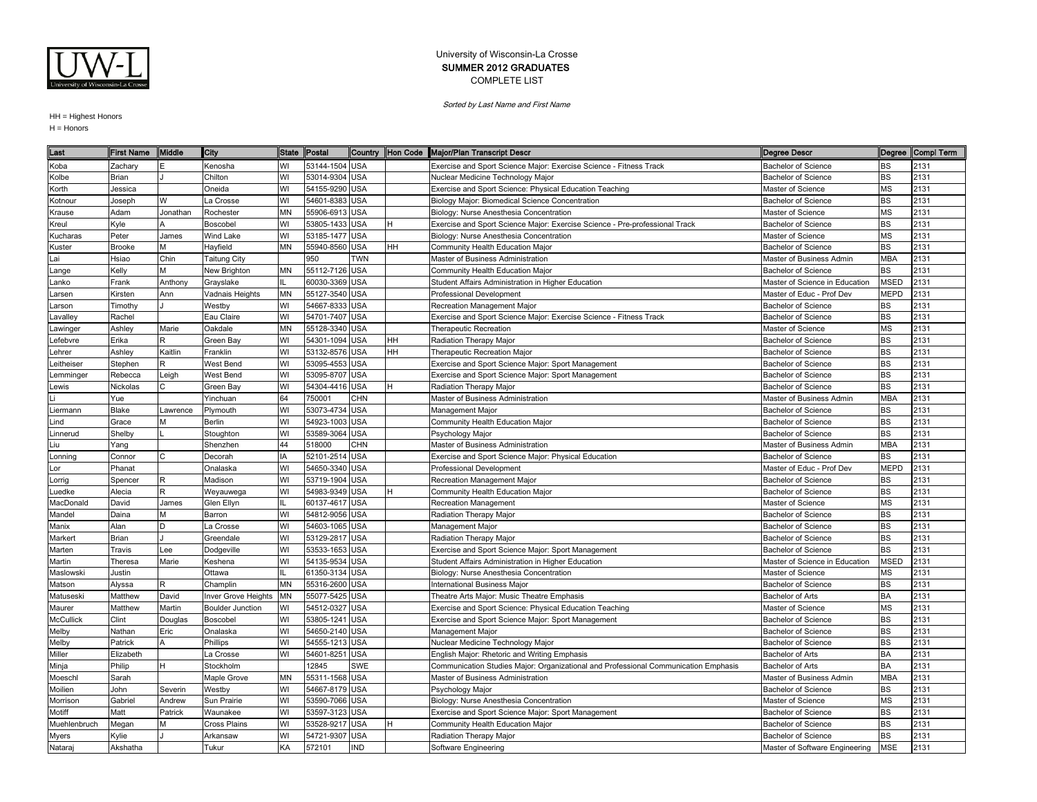

Sorted by Last Name and First Name

| Last         | <b>First Name</b> | Middle   | City                    | State Postal |                |            |           | Country  Hon Code  Major/Plan Transcript Descr                                      | <b>Degree Descr</b>            |             | Degree Compl Term |
|--------------|-------------------|----------|-------------------------|--------------|----------------|------------|-----------|-------------------------------------------------------------------------------------|--------------------------------|-------------|-------------------|
| Koba         | Zachary           |          | Kenosha                 | WI           | 53144-1504 USA |            |           | Exercise and Sport Science Major: Exercise Science - Fitness Track                  | Bachelor of Science            | BS          | 2131              |
| Kolbe        | Brian             |          | Chilton                 | WI           | 53014-9304     | <b>USA</b> |           | Nuclear Medicine Technology Major                                                   | <b>Bachelor of Science</b>     | BS          | 2131              |
| Korth        | Jessica           |          | Oneida                  | WI           | 54155-9290     | <b>USA</b> |           | Exercise and Sport Science: Physical Education Teaching                             | Master of Science              | <b>MS</b>   | 2131              |
| Kotnour      | Joseph            | W        | La Crosse               | WI           | 54601-8383     | <b>USA</b> |           | Biology Major: Biomedical Science Concentration                                     | <b>Bachelor of Science</b>     | <b>BS</b>   | 2131              |
| Krause       | Adam              | Jonathan | Rochester               | <b>MN</b>    | 55906-6913     | <b>USA</b> |           | Biology: Nurse Anesthesia Concentration                                             | Master of Science              | <b>MS</b>   | 2131              |
| Kreul        | Kyle              |          | Boscobel                | WI           | 53805-1433     | <b>USA</b> | H         | Exercise and Sport Science Major: Exercise Science - Pre-professional Track         | <b>Bachelor of Science</b>     | <b>BS</b>   | 2131              |
| Kucharas     | Peter             | James    | Wind Lake               | WI           | 53185-1477     | <b>USA</b> |           | Biology: Nurse Anesthesia Concentration                                             | Master of Science              | <b>MS</b>   | 2131              |
| ≺uster       | Brooke            | M        | Hayfield                | MN           | 55940-8560     | <b>USA</b> | HH        | Community Health Education Major                                                    | <b>Bachelor of Science</b>     | <b>BS</b>   | 2131              |
| _ai          | Hsiao             | Chin     | <b>Taitung City</b>     |              | 950            | <b>TWN</b> |           | Master of Business Administration                                                   | Master of Business Admin       | <b>MBA</b>  | 2131              |
| _ange        | Kelly             | M        | New Brighton            | <b>MN</b>    | 55112-7126     | <b>USA</b> |           | Community Health Education Major                                                    | <b>Bachelor of Science</b>     | BS          | 2131              |
| .anko        | Frank             | Anthony  | Grayslake               |              | 60030-3369     | <b>USA</b> |           | Student Affairs Administration in Higher Education                                  | Master of Science in Education | <b>MSED</b> | 2131              |
| Larsen       | Kirsten           | Ann      | Vadnais Heights         | <b>MN</b>    | 55127-3540     | <b>USA</b> |           | Professional Development                                                            | Master of Educ - Prof Dev      | <b>MEPD</b> | 2131              |
| arson        | Timothy           |          | Westby                  | WI           | 54667-8333     | <b>USA</b> |           | Recreation Management Major                                                         | Bachelor of Science            | BS          | 2131              |
| Lavalley     | Rachel            |          | Eau Claire              | WI           | 54701-7407     | <b>USA</b> |           | Exercise and Sport Science Major: Exercise Science - Fitness Track                  | <b>Bachelor of Science</b>     | BS          | 2131              |
| _awinger     | Ashley            | Marie    | Oakdale                 | <b>MN</b>    | 55128-3340 USA |            |           | Therapeutic Recreation                                                              | Master of Science              | <b>MS</b>   | 2131              |
| _efebvre     | Erika             | R        | Green Bay               | WI           | 54301-1094 USA |            | <b>HH</b> | Radiation Therapy Major                                                             | Bachelor of Science            | BS          | 2131              |
| _ehrer       | Ashley            | Kaitlin  | Franklin                | WI           | 53132-8576 USA |            | HH        | <b>Therapeutic Recreation Major</b>                                                 | <b>Bachelor of Science</b>     | BS          | 2131              |
| eitheiser    | Stephen           | R        | West Bend               | WI           | 53095-4553     | <b>USA</b> |           | Exercise and Sport Science Major: Sport Management                                  | Bachelor of Science            | BS          | 2131              |
| _emminger    | Rebecca           | Leigh    | West Bend               | WI           | 53095-8707     | <b>USA</b> |           | Exercise and Sport Science Major: Sport Management                                  | <b>Bachelor of Science</b>     | <b>BS</b>   | 2131              |
| _ewis        | Nickolas          | Ċ        | Green Bay               | WI           | 54304-4416     | <b>USA</b> | H         | Radiation Therapy Major                                                             | <b>Bachelor of Science</b>     | <b>BS</b>   | 2131              |
| Li           | Yue               |          | Yinchuan                | 64           | 750001         | CHN        |           | Master of Business Administration                                                   | Master of Business Admin       | <b>MBA</b>  | 2131              |
| Liermann     | Blake             | Lawrence | Plymouth                | WI           | 53073-4734     | <b>USA</b> |           | Management Major                                                                    | <b>Bachelor of Science</b>     | <b>BS</b>   | 2131              |
| Lind         | Grace             | М        | Berlin                  | WI           | 54923-1003     | <b>USA</b> |           | Community Health Education Major                                                    | <b>Bachelor of Science</b>     | <b>BS</b>   | 2131              |
| Linnerud     | Shelby            |          | Stoughton               | WI           | 53589-3064 USA |            |           | Psychology Major                                                                    | <b>Bachelor of Science</b>     | <b>BS</b>   | 2131              |
| Liu          | Yang              |          | Shenzhen                | 44           | 518000         | CHN        |           | Master of Business Administration                                                   | Master of Business Admin       | <b>MBA</b>  | 2131              |
| Lonning      | Connor            |          | Decorah                 | IA           | 52101-2514     | <b>USA</b> |           | Exercise and Sport Science Major: Physical Education                                | <b>Bachelor of Science</b>     | BS          | 2131              |
| _or          | Phanat            |          | Onalaska                | WI           | 54650-3340     | <b>USA</b> |           | Professional Development                                                            | Master of Educ - Prof Dev      | <b>MEPD</b> | 2131              |
| Lorrig       | Spencer           | R        | Madison                 | WI           | 53719-1904     | <b>USA</b> |           | Recreation Management Major                                                         | <b>Bachelor of Science</b>     | <b>BS</b>   | 2131              |
| _uedke       | Alecia            | R        | Weyauwega               | WI           | 54983-9349     | <b>USA</b> | H         | Community Health Education Major                                                    | <b>Bachelor of Science</b>     | <b>BS</b>   | 2131              |
| MacDonald    | David             | James    | Glen Ellyn              |              | 60137-4617     | <b>USA</b> |           | <b>Recreation Management</b>                                                        | Master of Science              | <b>MS</b>   | 2131              |
| Mandel       | Daina             | м        | Barron                  | WI           | 54812-9056 USA |            |           | Radiation Therapy Major                                                             | <b>Bachelor of Science</b>     | <b>BS</b>   | 2131              |
| Manix        | Alan              | D        | La Crosse               | WI           | 54603-1065 USA |            |           | Management Major                                                                    | <b>Bachelor of Science</b>     | <b>BS</b>   | 2131              |
| Markert      | Brian             |          | Greendale               | WI           | 53129-2817 USA |            |           | Radiation Therapy Major                                                             | <b>Bachelor of Science</b>     | <b>BS</b>   | 2131              |
| Marten       | Travis            | Lee      | Dodgeville              | WI           | 53533-1653     | <b>USA</b> |           | Exercise and Sport Science Major: Sport Management                                  | <b>Bachelor of Science</b>     | <b>BS</b>   | 2131              |
| Martin       | Theresa           | Marie    | Keshena                 | WI           | 54135-9534     | <b>USA</b> |           | Student Affairs Administration in Higher Education                                  | Master of Science in Education | <b>MSED</b> | 2131              |
| Maslowski    | Justin            |          | Ottawa                  |              | 61350-3134     | <b>USA</b> |           | Biology: Nurse Anesthesia Concentration                                             | Master of Science              | <b>MS</b>   | 2131              |
| Matson       | Alyssa            | R        | Champlin                | <b>MN</b>    | 55316-2600     | <b>USA</b> |           | <b>International Business Major</b>                                                 | <b>Bachelor of Science</b>     | <b>BS</b>   | 2131              |
| Matuseski    | Matthew           | David    | Inver Grove Heights     | <b>MN</b>    | 55077-5425     | <b>USA</b> |           | Theatre Arts Major: Music Theatre Emphasis                                          | Bachelor of Arts               | BA          | 2131              |
| Maurer       | Matthew           | Martin   | <b>Boulder Junction</b> | WI           | 54512-0327     | <b>USA</b> |           | Exercise and Sport Science: Physical Education Teaching                             | Master of Science              | <b>MS</b>   | 2131              |
| McCullick    | Clint             | Douglas  | Boscobel                | WI           | 53805-1241 USA |            |           | Exercise and Sport Science Major: Sport Management                                  | <b>Bachelor of Science</b>     | <b>BS</b>   | 2131              |
| Melby        | Nathan            | Eric     | Onalaska                | WI           | 54650-2140 USA |            |           | Management Major                                                                    | <b>Bachelor of Science</b>     | <b>BS</b>   | 2131              |
| Melby        | Patrick           | A        | Phillips                | WI           | 54555-1213     | <b>USA</b> |           | Nuclear Medicine Technology Major                                                   | <b>Bachelor of Science</b>     | <b>BS</b>   | 2131              |
| Miller       | Elizabeth         |          | La Crosse               | WI           | 54601-8251     | USA        |           | English Major: Rhetoric and Writing Emphasis                                        | <b>Bachelor of Arts</b>        | BA          | 2131              |
| Minja        | Philip            | H        | Stockholm               |              | 12845          | SWE        |           | Communication Studies Major: Organizational and Professional Communication Emphasis | Bachelor of Arts               | BA          | 2131              |
| Moeschl      | Sarah             |          | Maple Grove             | <b>MN</b>    | 55311-1568     | <b>USA</b> |           | Master of Business Administration                                                   | Master of Business Admin       | <b>MBA</b>  | 2131              |
| Moilien      | John              | Severin  | Westby                  | WI           | 54667-8179     | <b>USA</b> |           | Psychology Major                                                                    | <b>Bachelor of Science</b>     | <b>BS</b>   | 2131              |
| Morrison     | Gabriel           | Andrew   | Sun Prairie             | WI           | 53590-7066 USA |            |           | Biology: Nurse Anesthesia Concentration                                             | Master of Science              | <b>MS</b>   | 2131              |
| Motiff       | Matt              | Patrick  | Waunakee                | WI           | 53597-3123 USA |            |           | Exercise and Sport Science Major: Sport Management                                  | <b>Bachelor of Science</b>     | <b>BS</b>   | 2131              |
| Muehlenbruch | Megan             | М        | <b>Cross Plains</b>     | WI           | 53528-9217     | <b>USA</b> |           | Community Health Education Major                                                    | <b>Bachelor of Science</b>     | BS          | 2131              |
| Myers        | Kylie             |          | Arkansaw                | WI           | 54721-9307     | <b>USA</b> |           | Radiation Therapy Major                                                             | <b>Bachelor of Science</b>     | <b>BS</b>   | 2131              |
| Natarai      | Akshatha          |          | Tukur                   | KA           | 572101         | <b>IND</b> |           | Software Engineering                                                                | Master of Software Engineering | <b>MSE</b>  | 2131              |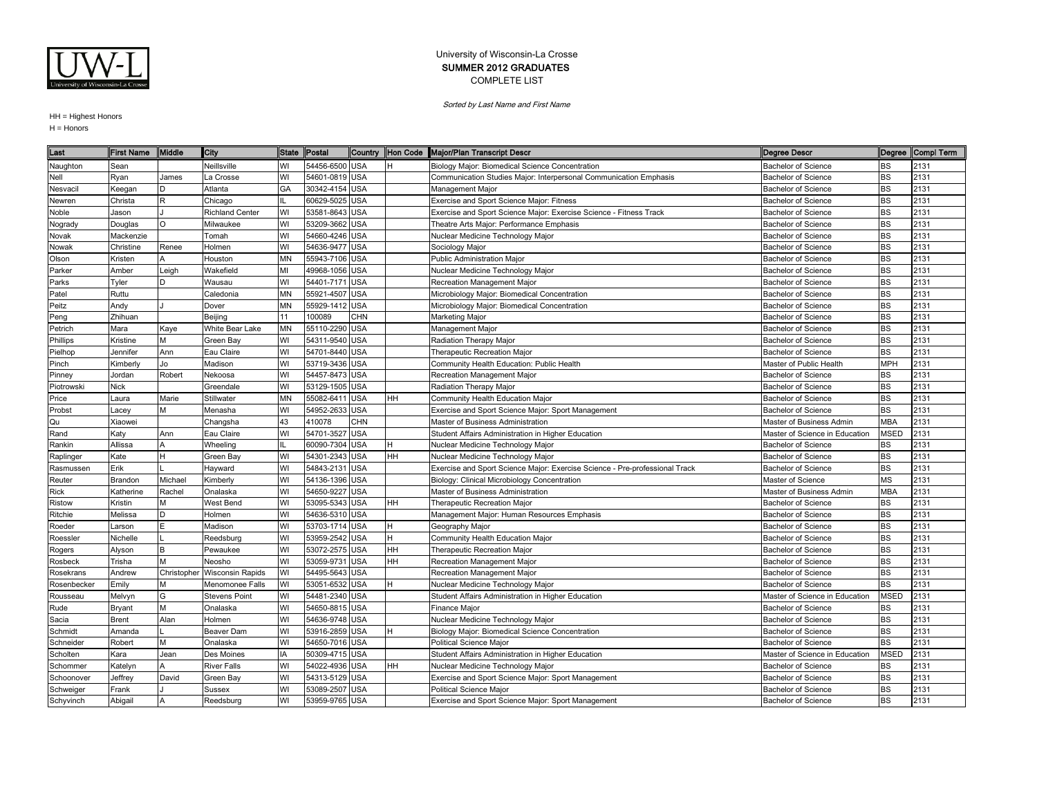

Sorted by Last Name and First Name

| Last        | <b>First Name</b> | Middle       | City                   |           | State Postal   |             |           | Country Hon Code Major/Plan Transcript Descr                                | <b>Degree Descr</b>            |             | Degree Compl Term |
|-------------|-------------------|--------------|------------------------|-----------|----------------|-------------|-----------|-----------------------------------------------------------------------------|--------------------------------|-------------|-------------------|
| Naughton    | Sean              |              | Neillsville            | WI        | 54456-6500 USA |             | H         | Biology Major: Biomedical Science Concentration                             | <b>Bachelor of Science</b>     | <b>BS</b>   | 2131              |
| Nell        | Ryan              | James        | La Crosse              | WI        | 54601-0819 USA |             |           | Communication Studies Major: Interpersonal Communication Emphasis           | <b>Bachelor of Science</b>     | <b>BS</b>   | 2131              |
| Nesvacil    | Keegan            | D            | Atlanta                | GA        | 30342-4154 USA |             |           | Management Major                                                            | <b>Bachelor of Science</b>     | <b>BS</b>   | 2131              |
| Newren      | Christa           | $\mathsf{R}$ | Chicago                | IL        | 60629-5025     | <b>USA</b>  |           | Exercise and Sport Science Major: Fitness                                   | <b>Bachelor of Science</b>     | <b>BS</b>   | 2131              |
| Noble       | Jason             |              | <b>Richland Center</b> | WI        | 53581-8643 USA |             |           | Exercise and Sport Science Major: Exercise Science - Fitness Track          | <b>Bachelor of Science</b>     | <b>BS</b>   | 2131              |
| Nogrady     | Douglas           | $\circ$      | Milwaukee              | WI        | 53209-3662     | <b>USA</b>  |           | Theatre Arts Major: Performance Emphasis                                    | <b>Bachelor of Science</b>     | <b>BS</b>   | 2131              |
| Novak       | Mackenzie         |              | Tomah                  | WI        | 54660-4246 USA |             |           | Nuclear Medicine Technology Major                                           | <b>Bachelor of Science</b>     | <b>BS</b>   | 2131              |
| Nowak       | Christine         | Renee        | Holmen                 | WI        | 54636-9477     | <b>USA</b>  |           | Sociology Major                                                             | <b>Bachelor of Science</b>     | BS          | 2131              |
| Olson       | Kristen           |              | Houston                | <b>MN</b> | 55943-7106 USA |             |           | Public Administration Major                                                 | Bachelor of Science            | BS          | 2131              |
| Parker      | Amber             | Leigh        | Wakefield              | MI        | 49968-1056 USA |             |           | Nuclear Medicine Technology Major                                           | <b>Bachelor of Science</b>     | <b>BS</b>   | 2131              |
| Parks       | Tyler             | D            | Wausau                 | WI        | 54401-7171     | <b>USA</b>  |           | Recreation Management Major                                                 | <b>Bachelor of Science</b>     | <b>BS</b>   | 2131              |
| Patel       | Ruttu             |              | Caledonia              | <b>MN</b> | 55921-4507     | <b>USA</b>  |           | Microbiology Major: Biomedical Concentration                                | Bachelor of Science            | <b>BS</b>   | 2131              |
| Peitz       | Andy              |              | Dover                  | <b>MN</b> | 55929-1412     | <b>USA</b>  |           | Microbiology Major: Biomedical Concentration                                | <b>Bachelor of Science</b>     | <b>BS</b>   | 2131              |
| Peng        | Zhihuan           |              | Beijing                | 11        | 100089         | CHN         |           | Marketing Major                                                             | <b>Bachelor of Science</b>     | BS          | 2131              |
| Petrich     | Mara              | Kaye         | White Bear Lake        | <b>MN</b> | 55110-2290 USA |             |           | Management Major                                                            | <b>Bachelor of Science</b>     | <b>BS</b>   | 2131              |
| Phillips    | Kristine          | М            | Green Bay              | WI        | 54311-9540 USA |             |           | Radiation Therapy Major                                                     | <b>Bachelor of Science</b>     | <b>BS</b>   | 2131              |
| Pielhop     | Jennifer          | Ann          | Eau Claire             | WI        | 54701-8440 USA |             |           | Therapeutic Recreation Major                                                | <b>Bachelor of Science</b>     | <b>BS</b>   | 2131              |
| Pinch       | Kimberly          | Jo           | Madison                | WI        | 53719-3436 USA |             |           | Community Health Education: Public Health                                   | Master of Public Health        | <b>MPH</b>  | 2131              |
| Pinney      | Jordan            | Robert       | Nekoosa                | WI        | 54457-8473 USA |             |           | Recreation Management Major                                                 | <b>Bachelor of Science</b>     | <b>BS</b>   | 2131              |
| Piotrowski  | Nick              |              | Greendale              | WI        | 53129-1505 USA |             |           | Radiation Therapy Major                                                     | <b>Bachelor of Science</b>     | <b>BS</b>   | 2131              |
| Price       | Laura             | Marie        | Stillwater             | <b>MN</b> | 55082-6411     | <b>USA</b>  | <b>HH</b> | Community Health Education Major                                            | <b>Bachelor of Science</b>     | <b>BS</b>   | 2131              |
| Probst      | Lacey             | М            | Menasha                | WI        | 54952-2633     | <b>USA</b>  |           | Exercise and Sport Science Major: Sport Management                          | <b>Bachelor of Science</b>     | <b>BS</b>   | 2131              |
| Qu          | Xiaowei           |              | Changsha               | 43        | 410078         | CHN         |           | Master of Business Administration                                           | Master of Business Admin       | <b>MBA</b>  | 2131              |
| Rand        | Katy              | Ann          | Eau Claire             | WI        | 54701-3527     | <b>USA</b>  |           | Student Affairs Administration in Higher Education                          | Master of Science in Education | MSED        | 2131              |
| Rankin      | Allissa           | A            | Wheeling               | IL.       | 60090-7304 USA |             | H         | Nuclear Medicine Technology Major                                           | <b>Bachelor of Science</b>     | ВS          | 2131              |
| Raplinger   | Kate              | H            | Green Bay              | WI        | 54301-2343 USA |             | <b>HH</b> | Nuclear Medicine Technology Major                                           | <b>Bachelor of Science</b>     | <b>BS</b>   | 2131              |
| Rasmussen   | Erik              |              | Hayward                | WI        | 54843-2131     | <b>USA</b>  |           | Exercise and Sport Science Major: Exercise Science - Pre-professional Track | <b>Bachelor of Science</b>     | <b>BS</b>   | 2131              |
| Reuter      | Brandon           | Michael      | Kimberly               | WI        | 54136-1396 USA |             |           | Biology: Clinical Microbiology Concentration                                | Master of Science              | MS          | 2131              |
| Rick        | Katherine         | Rachel       | Onalaska               | WI        | 54650-9227     | <b>USA</b>  |           | Master of Business Administration                                           | Master of Business Admin       | <b>MBA</b>  | 2131              |
| Ristow      | Kristin           | М            | West Bend              | WI        | 53095-5343     | <b>USA</b>  | HH        | Therapeutic Recreation Major                                                | <b>Bachelor of Science</b>     | <b>BS</b>   | 2131              |
| Ritchie     | Melissa           | D            | Holmen                 | WI        | 54636-5310     | <b>USA</b>  |           | Management Major: Human Resources Emphasis                                  | <b>Bachelor of Science</b>     | <b>BS</b>   | 2131              |
| Roeder      | .arson            |              | Madison                | WI        | 53703-1714 USA |             | H         | Geography Major                                                             | <b>Bachelor of Science</b>     | <b>BS</b>   | 2131              |
| Roessler    | Nichelle          |              | Reedsburg              | WI        | 53959-2542 USA |             | H         | Community Health Education Major                                            | Bachelor of Science            | <b>BS</b>   | 2131              |
| Rogers      | Alyson            | B            | Pewaukee               | WI        | 53072-2575 USA |             | <b>HH</b> | Therapeutic Recreation Major                                                | <b>Bachelor of Science</b>     | <b>BS</b>   | 2131              |
| Rosbeck     | Trisha            | M            | Neosho                 | WI        | 53059-9731     | <b>USA</b>  | <b>HH</b> | Recreation Management Major                                                 | <b>Bachelor of Science</b>     | <b>BS</b>   | 2131              |
| Rosekrans   | Andrew            | Christopher  | Wisconsin Rapids       | WI        | 54495-5643     | <b>USA</b>  |           | Recreation Management Major                                                 | Bachelor of Science            | <b>BS</b>   | 2131              |
| Rosenbecker | Emily             | м            | Menomonee Falls        | WI        | 53051-6532     | <b>USA</b>  | H         | Nuclear Medicine Technology Major                                           | <b>Bachelor of Science</b>     | <b>BS</b>   | 2131              |
| Rousseau    | Melvyn            | G            | <b>Stevens Point</b>   | WI        | 54481-2340     | <b>IUSA</b> |           | Student Affairs Administration in Higher Education                          | Master of Science in Education | <b>MSED</b> | 2131              |
| Rude        | Bryant            | М            | Onalaska               | WI        | 54650-8815 USA |             |           | <b>Finance Major</b>                                                        | <b>Bachelor of Science</b>     | ВS          | 2131              |
| Sacia       | Brent             | Alan         | Holmen                 | WI        | 54636-9748 USA |             |           | Nuclear Medicine Technology Major                                           | <b>Bachelor of Science</b>     | BS          | 2131              |
| Schmidt     | Amanda            |              | Beaver Dam             | WI        | 53916-2859 USA |             |           | Biology Major: Biomedical Science Concentration                             | <b>Bachelor of Science</b>     | <b>BS</b>   | 2131              |
| Schneider   | Robert            | М            | Onalaska               | WI        | 54650-7016 USA |             |           | Political Science Major                                                     | <b>Bachelor of Science</b>     | <b>BS</b>   | 2131              |
| Scholten    | Kara              | Jean         | Des Moines             | IA        | 50309-4715 USA |             |           | Student Affairs Administration in Higher Education                          | Master of Science in Education | <b>MSED</b> | 2131              |
| Schommer    | Katelyn           | A            | <b>River Falls</b>     | WI        | 54022-4936 USA |             | <b>HH</b> | Nuclear Medicine Technology Major                                           | <b>Bachelor of Science</b>     | <b>BS</b>   | 2131              |
| Schoonover  | Jeffrey           | David        | Green Bay              | WI        | 54313-5129 USA |             |           | Exercise and Sport Science Major: Sport Management                          | <b>Bachelor of Science</b>     | <b>BS</b>   | 2131              |
| Schweiger   | Frank             |              | Sussex                 | WI        | 53089-2507 USA |             |           | Political Science Major                                                     | <b>Bachelor of Science</b>     | <b>BS</b>   | 2131              |
| Schyvinch   | Abigail           | A            | Reedsburg              | WI        | 53959-9765 USA |             |           | Exercise and Sport Science Major: Sport Management                          | <b>Bachelor of Science</b>     | <b>BS</b>   | 2131              |